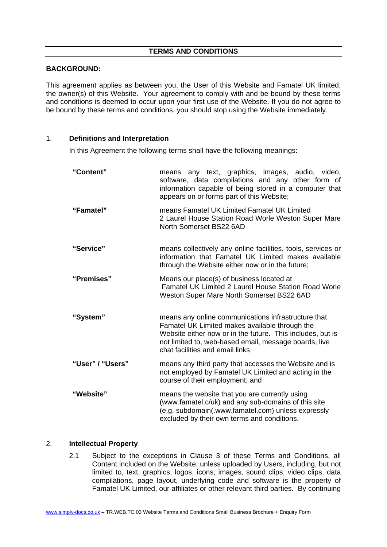# **TERMS AND CONDITIONS**

# **BACKGROUND:**

This agreement applies as between you, the User of this Website and Famatel UK limited, the owner(s) of this Website. Your agreement to comply with and be bound by these terms and conditions is deemed to occur upon your first use of the Website. If you do not agree to be bound by these terms and conditions, you should stop using the Website immediately.

# 1. **Definitions and Interpretation**

In this Agreement the following terms shall have the following meanings:

| "Content"        | means any text, graphics, images, audio, video,<br>software, data compilations and any other form of<br>information capable of being stored in a computer that<br>appears on or forms part of this Website;                                                      |  |  |
|------------------|------------------------------------------------------------------------------------------------------------------------------------------------------------------------------------------------------------------------------------------------------------------|--|--|
| "Famatel"        | means Famatel UK Limited Famatel UK Limited<br>2 Laurel House Station Road Worle Weston Super Mare<br>North Somerset BS22 6AD                                                                                                                                    |  |  |
| "Service"        | means collectively any online facilities, tools, services or<br>information that Famatel UK Limited makes available<br>through the Website either now or in the future;                                                                                          |  |  |
| "Premises"       | Means our place(s) of business located at<br><b>Famatel UK Limited 2 Laurel House Station Road Worle</b><br>Weston Super Mare North Somerset BS22 6AD                                                                                                            |  |  |
| "System"         | means any online communications infrastructure that<br>Famatel UK Limited makes available through the<br>Website either now or in the future. This includes, but is<br>not limited to, web-based email, message boards, live<br>chat facilities and email links; |  |  |
| "User" / "Users" | means any third party that accesses the Website and is<br>not employed by Famatel UK Limited and acting in the<br>course of their employment; and                                                                                                                |  |  |
| "Website"        | means the website that you are currently using<br>(www.famatel.c/uk) and any sub-domains of this site<br>(e.g. subdomain(.www.famatel.com) unless expressly<br>excluded by their own terms and conditions.                                                       |  |  |

# 2. **Intellectual Property**

2.1 Subject to the exceptions in Clause 3 of these Terms and Conditions, all Content included on the Website, unless uploaded by Users, including, but not limited to, text, graphics, logos, icons, images, sound clips, video clips, data compilations, page layout, underlying code and software is the property of Famatel UK Limited, our affiliates or other relevant third parties. By continuing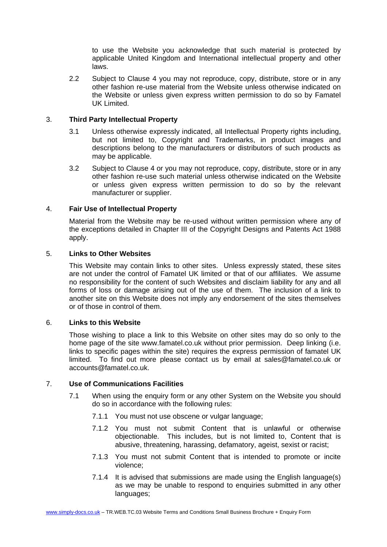to use the Website you acknowledge that such material is protected by applicable United Kingdom and International intellectual property and other laws.

2.2 Subject to Clause 4 you may not reproduce, copy, distribute, store or in any other fashion re-use material from the Website unless otherwise indicated on the Website or unless given express written permission to do so by Famatel UK Limited.

# 3. **Third Party Intellectual Property**

- 3.1 Unless otherwise expressly indicated, all Intellectual Property rights including, but not limited to, Copyright and Trademarks, in product images and descriptions belong to the manufacturers or distributors of such products as may be applicable.
- 3.2 Subject to Clause 4 or you may not reproduce, copy, distribute, store or in any other fashion re-use such material unless otherwise indicated on the Website or unless given express written permission to do so by the relevant manufacturer or supplier.

# 4. **Fair Use of Intellectual Property**

Material from the Website may be re-used without written permission where any of the exceptions detailed in Chapter III of the Copyright Designs and Patents Act 1988 apply.

# 5. **Links to Other Websites**

This Website may contain links to other sites. Unless expressly stated, these sites are not under the control of Famatel UK limited or that of our affiliates. We assume no responsibility for the content of such Websites and disclaim liability for any and all forms of loss or damage arising out of the use of them. The inclusion of a link to another site on this Website does not imply any endorsement of the sites themselves or of those in control of them.

### 6. **Links to this Website**

Those wishing to place a link to this Website on other sites may do so only to the home page of the site www.famatel.co.uk without prior permission. Deep linking (i.e. links to specific pages within the site) requires the express permission of famatel UK limited. To find out more please contact us by email at sales@famatel.co.uk or accounts@famatel.co.uk.

## 7. **Use of Communications Facilities**

- 7.1 When using the enquiry form or any other System on the Website you should do so in accordance with the following rules:
	- 7.1.1 You must not use obscene or vulgar language;
	- 7.1.2 You must not submit Content that is unlawful or otherwise objectionable. This includes, but is not limited to, Content that is abusive, threatening, harassing, defamatory, ageist, sexist or racist;
	- 7.1.3 You must not submit Content that is intended to promote or incite violence;
	- 7.1.4 It is advised that submissions are made using the English language(s) as we may be unable to respond to enquiries submitted in any other languages;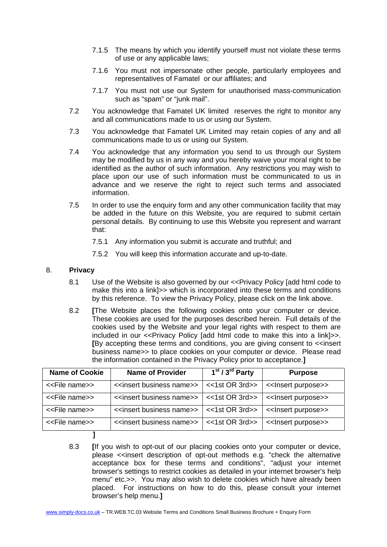- 7.1.5 The means by which you identify yourself must not violate these terms of use or any applicable laws;
- 7.1.6 You must not impersonate other people, particularly employees and representatives of Famatel or our affiliates; and
- 7.1.7 You must not use our System for unauthorised mass-communication such as "spam" or "junk mail".
- 7.2 You acknowledge that Famatel UK limited reserves the right to monitor any and all communications made to us or using our System.
- 7.3 You acknowledge that Famatel UK Limited may retain copies of any and all communications made to us or using our System.
- 7.4 You acknowledge that any information you send to us through our System may be modified by us in any way and you hereby waive your moral right to be identified as the author of such information. Any restrictions you may wish to place upon our use of such information must be communicated to us in advance and we reserve the right to reject such terms and associated information.
- 7.5 In order to use the enquiry form and any other communication facility that may be added in the future on this Website, you are required to submit certain personal details. By continuing to use this Website you represent and warrant that:
	- 7.5.1 Any information you submit is accurate and truthful; and
	- 7.5.2 You will keep this information accurate and up-to-date.

## 8. **Privacy**

- 8.1 Use of the Website is also governed by our <<Privacy Policy [add html code to make this into a link]>> which is incorporated into these terms and conditions by this reference. To view the Privacy Policy, please click on the link above.
- 8.2 **[**The Website places the following cookies onto your computer or device. These cookies are used for the purposes described herein. Full details of the cookies used by the Website and your legal rights with respect to them are included in our <<Provacy Policy [add html code to make this into a link]>>. **[**By accepting these terms and conditions, you are giving consent to <<insert business name>> to place cookies on your computer or device. Please read the information contained in the Privacy Policy prior to acceptance.**]**

| <b>Name of Cookie</b>       | <b>Name of Provider</b>                     | $1st / 3rd$ Party | <b>Purpose</b>                                      |
|-----------------------------|---------------------------------------------|-------------------|-----------------------------------------------------|
| < <file name="">&gt;</file> | < <insert business="" name="">&gt;</insert> | <<1st OR 3rd>>    | < <lnsert purpose="">&gt;</lnsert>                  |
| < <file name="">&gt;</file> | < <insert business="" name="">&gt;</insert> |                   | <<1st OR 3rd>>   < <lnsert purpose="">&gt;</lnsert> |
| < <file name="">&gt;</file> | < <insert business="" name="">&gt;</insert> |                   | <<1st OR 3rd>>   < <lnsert purpose="">&gt;</lnsert> |
| < <file name="">&gt;</file> | < <insert business="" name="">&gt;</insert> | <<1st OR 3rd>>    | < <lnsert purpose="">&gt;</lnsert>                  |

- **]**
- 8.3 **[**If you wish to opt-out of our placing cookies onto your computer or device, please <<insert description of opt-out methods e.g. "check the alternative acceptance box for these terms and conditions", "adjust your internet browser's settings to restrict cookies as detailed in your internet browser's help menu" etc.>>. You may also wish to delete cookies which have already been placed. For instructions on how to do this, please consult your internet browser's help menu.**]**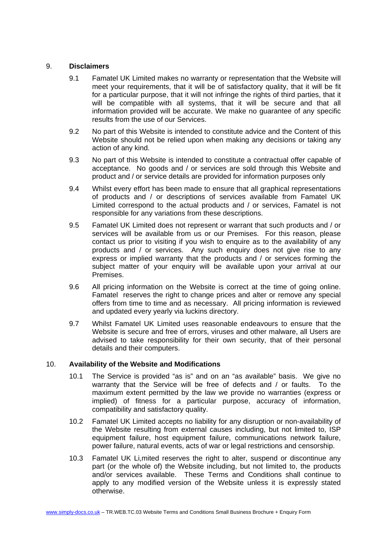# 9. **Disclaimers**

- 9.1 Famatel UK Limited makes no warranty or representation that the Website will meet your requirements, that it will be of satisfactory quality, that it will be fit for a particular purpose, that it will not infringe the rights of third parties, that it will be compatible with all systems, that it will be secure and that all information provided will be accurate. We make no guarantee of any specific results from the use of our Services.
- 9.2 No part of this Website is intended to constitute advice and the Content of this Website should not be relied upon when making any decisions or taking any action of any kind.
- 9.3 No part of this Website is intended to constitute a contractual offer capable of acceptance. No goods and / or services are sold through this Website and product and / or service details are provided for information purposes only
- 9.4 Whilst every effort has been made to ensure that all graphical representations of products and / or descriptions of services available from Famatel UK Limited correspond to the actual products and / or services, Famatel is not responsible for any variations from these descriptions.
- 9.5 Famatel UK Limited does not represent or warrant that such products and / or services will be available from us or our Premises. For this reason, please contact us prior to visiting if you wish to enquire as to the availability of any products and / or services. Any such enquiry does not give rise to any express or implied warranty that the products and / or services forming the subject matter of your enquiry will be available upon your arrival at our Premises.
- 9.6 All pricing information on the Website is correct at the time of going online. Famatel reserves the right to change prices and alter or remove any special offers from time to time and as necessary. All pricing information is reviewed and updated every yearly via luckins directory.
- 9.7 Whilst Famatel UK Limited uses reasonable endeavours to ensure that the Website is secure and free of errors, viruses and other malware, all Users are advised to take responsibility for their own security, that of their personal details and their computers.

### 10. **Availability of the Website and Modifications**

- 10.1 The Service is provided "as is" and on an "as available" basis. We give no warranty that the Service will be free of defects and / or faults. To the maximum extent permitted by the law we provide no warranties (express or implied) of fitness for a particular purpose, accuracy of information, compatibility and satisfactory quality.
- 10.2 Famatel UK Limited accepts no liability for any disruption or non-availability of the Website resulting from external causes including, but not limited to, ISP equipment failure, host equipment failure, communications network failure, power failure, natural events, acts of war or legal restrictions and censorship.
- 10.3 Famatel UK Li,mited reserves the right to alter, suspend or discontinue any part (or the whole of) the Website including, but not limited to, the products and/or services available. These Terms and Conditions shall continue to apply to any modified version of the Website unless it is expressly stated otherwise.